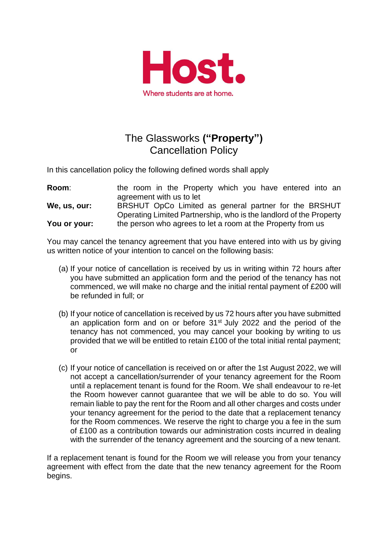

## The Glassworks **("Property")** Cancellation Policy

In this cancellation policy the following defined words shall apply

**Room:** the room in the Property which you have entered into an agreement with us to let **We, us, our:** BRSHUT OpCo Limited as general partner for the BRSHUT Operating Limited Partnership, who is the landlord of the Property

**You or your:** the person who agrees to let a room at the Property from us

You may cancel the tenancy agreement that you have entered into with us by giving us written notice of your intention to cancel on the following basis:

- (a) If your notice of cancellation is received by us in writing within 72 hours after you have submitted an application form and the period of the tenancy has not commenced, we will make no charge and the initial rental payment of £200 will be refunded in full; or
- (b) If your notice of cancellation is received by us 72 hours after you have submitted an application form and on or before 31<sup>st</sup> July 2022 and the period of the tenancy has not commenced, you may cancel your booking by writing to us provided that we will be entitled to retain £100 of the total initial rental payment; or
- (c) If your notice of cancellation is received on or after the 1st August 2022, we will not accept a cancellation/surrender of your tenancy agreement for the Room until a replacement tenant is found for the Room. We shall endeavour to re-let the Room however cannot guarantee that we will be able to do so. You will remain liable to pay the rent for the Room and all other charges and costs under your tenancy agreement for the period to the date that a replacement tenancy for the Room commences. We reserve the right to charge you a fee in the sum of £100 as a contribution towards our administration costs incurred in dealing with the surrender of the tenancy agreement and the sourcing of a new tenant.

If a replacement tenant is found for the Room we will release you from your tenancy agreement with effect from the date that the new tenancy agreement for the Room begins.